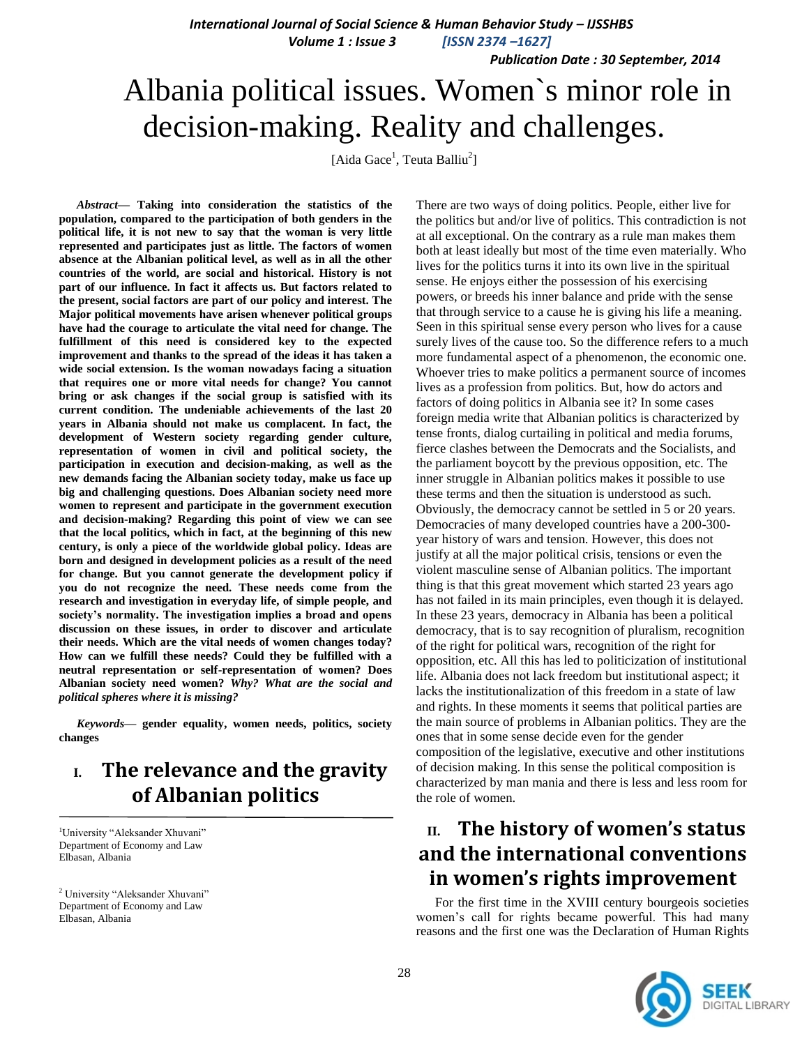*International Journal of Social Science & Human Behavior Study – IJSSHBS Volume 1 : Issue 3 [ISSN 2374 –1627]*

 *Publication Date : 30 September, 2014*

# Albania political issues. Women`s minor role in decision-making. Reality and challenges.

[Aida Gace<sup>1</sup>, Teuta Balliu<sup>2</sup>]

*Abstract—* **Taking into consideration the statistics of the population, compared to the participation of both genders in the political life, it is not new to say that the woman is very little represented and participates just as little. The factors of women absence at the Albanian political level, as well as in all the other countries of the world, are social and historical. History is not part of our influence. In fact it affects us. But factors related to the present, social factors are part of our policy and interest. The Major political movements have arisen whenever political groups have had the courage to articulate the vital need for change. The fulfillment of this need is considered key to the expected improvement and thanks to the spread of the ideas it has taken a wide social extension. Is the woman nowadays facing a situation that requires one or more vital needs for change? You cannot bring or ask changes if the social group is satisfied with its current condition. The undeniable achievements of the last 20 years in Albania should not make us complacent. In fact, the development of Western society regarding gender culture, representation of women in civil and political society, the participation in execution and decision-making, as well as the new demands facing the Albanian society today, make us face up big and challenging questions. Does Albanian society need more women to represent and participate in the government execution and decision-making? Regarding this point of view we can see that the local politics, which in fact, at the beginning of this new century, is only a piece of the worldwide global policy. Ideas are born and designed in development policies as a result of the need for change. But you cannot generate the development policy if you do not recognize the need. These needs come from the research and investigation in everyday life, of simple people, and society's normality. The investigation implies a broad and opens discussion on these issues, in order to discover and articulate their needs. Which are the vital needs of women changes today? How can we fulfill these needs? Could they be fulfilled with a neutral representation or self-representation of women? Does Albanian society need women?** *Why? What are the social and political spheres where it is missing?*

*Keywords***— gender equality, women needs, politics, society changes**

### **I. The relevance and the gravity of Albanian politics**

<sup>1</sup>University "Aleksander Xhuvani" Department of Economy and Law Elbasan, Albania

<sup>2</sup> University "Aleksander Xhuvani" Department of Economy and Law Elbasan, Albania

There are two ways of doing politics. People, either live for the politics but and/or live of politics. This contradiction is not at all exceptional. On the contrary as a rule man makes them both at least ideally but most of the time even materially. Who lives for the politics turns it into its own live in the spiritual sense. He enjoys either the possession of his exercising powers, or breeds his inner balance and pride with the sense that through service to a cause he is giving his life a meaning. Seen in this spiritual sense every person who lives for a cause surely lives of the cause too. So the difference refers to a much more fundamental aspect of a phenomenon, the economic one. Whoever tries to make politics a permanent source of incomes lives as a profession from politics. But, how do actors and factors of doing politics in Albania see it? In some cases foreign media write that Albanian politics is characterized by tense fronts, dialog curtailing in political and media forums, fierce clashes between the Democrats and the Socialists, and the parliament boycott by the previous opposition, etc. The inner struggle in Albanian politics makes it possible to use these terms and then the situation is understood as such. Obviously, the democracy cannot be settled in 5 or 20 years. Democracies of many developed countries have a 200-300 year history of wars and tension. However, this does not justify at all the major political crisis, tensions or even the violent masculine sense of Albanian politics. The important thing is that this great movement which started 23 years ago has not failed in its main principles, even though it is delayed. In these 23 years, democracy in Albania has been a political democracy, that is to say recognition of pluralism, recognition of the right for political wars, recognition of the right for opposition, etc. All this has led to politicization of institutional life. Albania does not lack freedom but institutional aspect; it lacks the institutionalization of this freedom in a state of law and rights. In these moments it seems that political parties are the main source of problems in Albanian politics. They are the ones that in some sense decide even for the gender composition of the legislative, executive and other institutions of decision making. In this sense the political composition is characterized by man mania and there is less and less room for the role of women.

# **II. The history of women's status and the international conventions in women's rights improvement**

For the first time in the XVIII century bourgeois societies women"s call for rights became powerful. This had many reasons and the first one was the Declaration of Human Rights

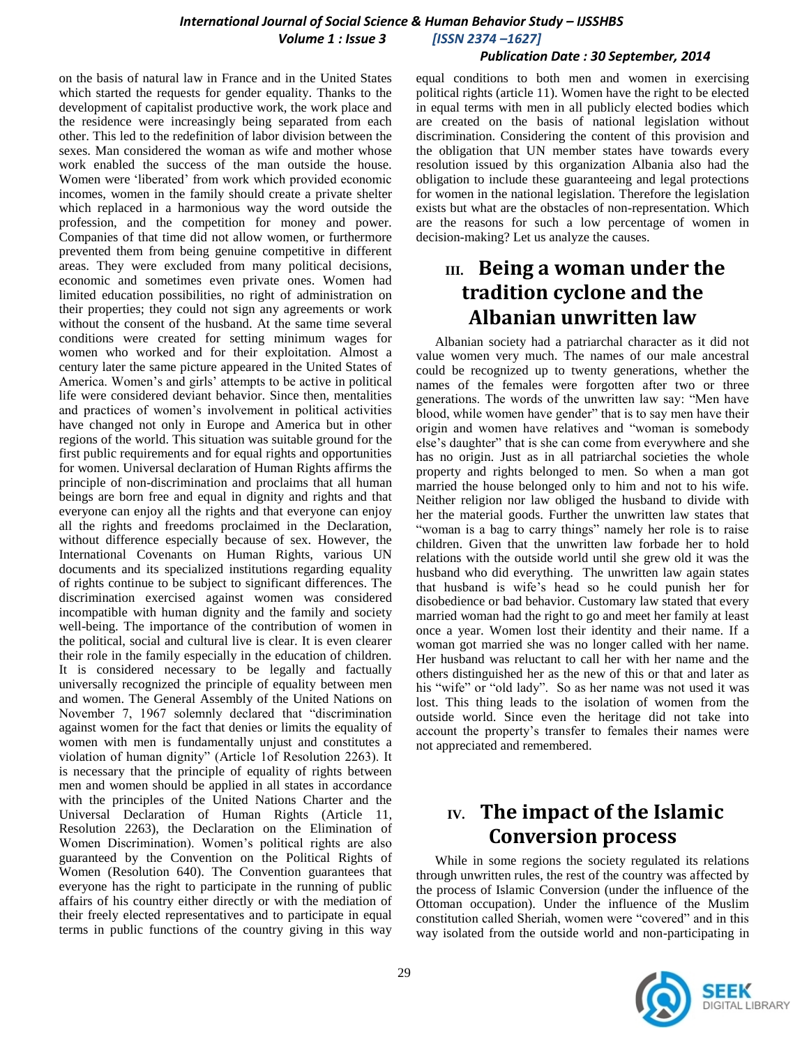### *International Journal of Social Science & Human Behavior Study – IJSSHBS Volume 1 : Issue 3 [ISSN 2374 –1627]*

#### *Publication Date : 30 September, 2014*

on the basis of natural law in France and in the United States which started the requests for gender equality. Thanks to the development of capitalist productive work, the work place and the residence were increasingly being separated from each other. This led to the redefinition of labor division between the sexes. Man considered the woman as wife and mother whose work enabled the success of the man outside the house. Women were "liberated" from work which provided economic incomes, women in the family should create a private shelter which replaced in a harmonious way the word outside the profession, and the competition for money and power. Companies of that time did not allow women, or furthermore prevented them from being genuine competitive in different areas. They were excluded from many political decisions, economic and sometimes even private ones. Women had limited education possibilities, no right of administration on their properties; they could not sign any agreements or work without the consent of the husband. At the same time several conditions were created for setting minimum wages for women who worked and for their exploitation. Almost a century later the same picture appeared in the United States of America. Women's and girls' attempts to be active in political life were considered deviant behavior. Since then, mentalities and practices of women"s involvement in political activities have changed not only in Europe and America but in other regions of the world. This situation was suitable ground for the first public requirements and for equal rights and opportunities for women. Universal declaration of Human Rights affirms the principle of non-discrimination and proclaims that all human beings are born free and equal in dignity and rights and that everyone can enjoy all the rights and that everyone can enjoy all the rights and freedoms proclaimed in the Declaration, without difference especially because of sex. However, the International Covenants on Human Rights, various UN documents and its specialized institutions regarding equality of rights continue to be subject to significant differences. The discrimination exercised against women was considered incompatible with human dignity and the family and society well-being. The importance of the contribution of women in the political, social and cultural live is clear. It is even clearer their role in the family especially in the education of children. It is considered necessary to be legally and factually universally recognized the principle of equality between men and women. The General Assembly of the United Nations on November 7, 1967 solemnly declared that "discrimination against women for the fact that denies or limits the equality of women with men is fundamentally unjust and constitutes a violation of human dignity" (Article 1of Resolution 2263). It is necessary that the principle of equality of rights between men and women should be applied in all states in accordance with the principles of the United Nations Charter and the Universal Declaration of Human Rights (Article 11, Resolution 2263), the Declaration on the Elimination of Women Discrimination). Women"s political rights are also guaranteed by the Convention on the Political Rights of Women (Resolution 640). The Convention guarantees that everyone has the right to participate in the running of public affairs of his country either directly or with the mediation of their freely elected representatives and to participate in equal terms in public functions of the country giving in this way

equal conditions to both men and women in exercising political rights (article 11). Women have the right to be elected in equal terms with men in all publicly elected bodies which are created on the basis of national legislation without discrimination. Considering the content of this provision and the obligation that UN member states have towards every resolution issued by this organization Albania also had the obligation to include these guaranteeing and legal protections for women in the national legislation. Therefore the legislation exists but what are the obstacles of non-representation. Which are the reasons for such a low percentage of women in decision-making? Let us analyze the causes.

# **III. Being a woman under the tradition cyclone and the Albanian unwritten law**

Albanian society had a patriarchal character as it did not value women very much. The names of our male ancestral could be recognized up to twenty generations, whether the names of the females were forgotten after two or three generations. The words of the unwritten law say: "Men have blood, while women have gender" that is to say men have their origin and women have relatives and "woman is somebody else"s daughter" that is she can come from everywhere and she has no origin. Just as in all patriarchal societies the whole property and rights belonged to men. So when a man got married the house belonged only to him and not to his wife. Neither religion nor law obliged the husband to divide with her the material goods. Further the unwritten law states that "woman is a bag to carry things" namely her role is to raise children. Given that the unwritten law forbade her to hold relations with the outside world until she grew old it was the husband who did everything. The unwritten law again states that husband is wife"s head so he could punish her for disobedience or bad behavior. Customary law stated that every married woman had the right to go and meet her family at least once a year. Women lost their identity and their name. If a woman got married she was no longer called with her name. Her husband was reluctant to call her with her name and the others distinguished her as the new of this or that and later as his "wife" or "old lady". So as her name was not used it was lost. This thing leads to the isolation of women from the outside world. Since even the heritage did not take into account the property"s transfer to females their names were not appreciated and remembered.

# **IV. The impact of the Islamic Conversion process**

While in some regions the society regulated its relations through unwritten rules, the rest of the country was affected by the process of Islamic Conversion (under the influence of the Ottoman occupation). Under the influence of the Muslim constitution called Sheriah, women were "covered" and in this way isolated from the outside world and non-participating in

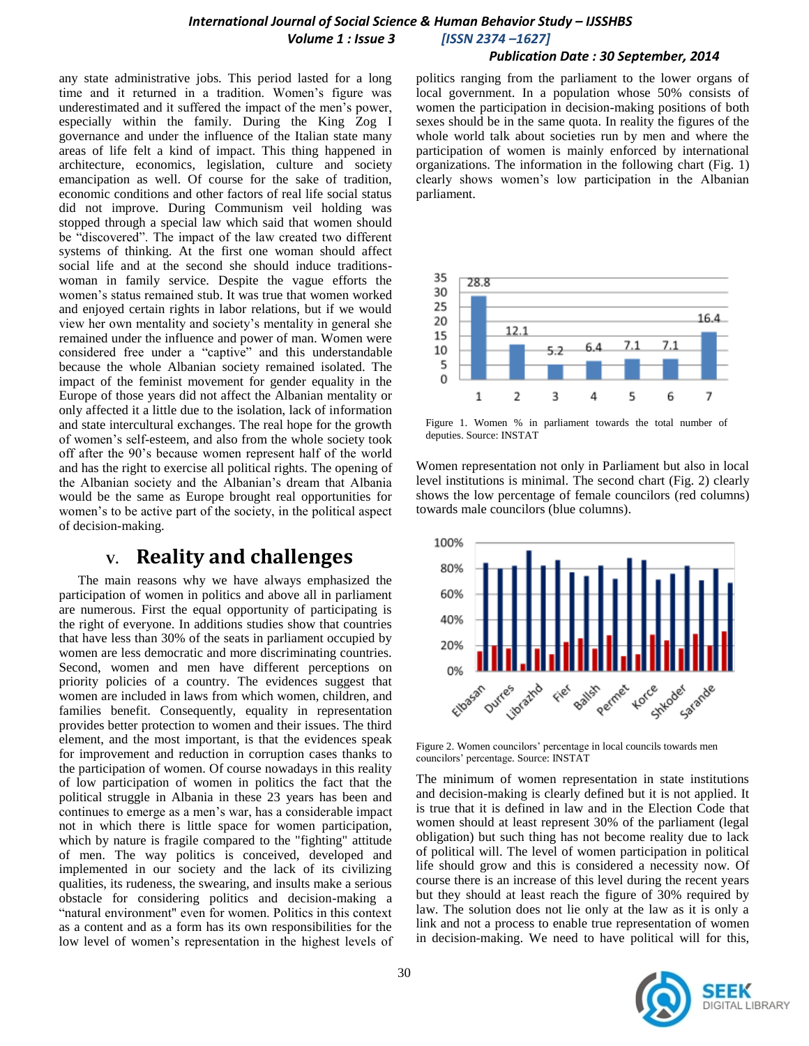#### *Publication Date : 30 September, 2014*

any state administrative jobs. This period lasted for a long time and it returned in a tradition. Women's figure was underestimated and it suffered the impact of the men"s power, especially within the family. During the King Zog I governance and under the influence of the Italian state many areas of life felt a kind of impact. This thing happened in architecture, economics, legislation, culture and society emancipation as well. Of course for the sake of tradition, economic conditions and other factors of real life social status did not improve. During Communism veil holding was stopped through a special law which said that women should be "discovered". The impact of the law created two different systems of thinking. At the first one woman should affect social life and at the second she should induce traditionswoman in family service. Despite the vague efforts the women"s status remained stub. It was true that women worked and enjoyed certain rights in labor relations, but if we would view her own mentality and society"s mentality in general she remained under the influence and power of man. Women were considered free under a "captive" and this understandable because the whole Albanian society remained isolated. The impact of the feminist movement for gender equality in the Europe of those years did not affect the Albanian mentality or only affected it a little due to the isolation, lack of information and state intercultural exchanges. The real hope for the growth of women"s self-esteem, and also from the whole society took off after the 90"s because women represent half of the world and has the right to exercise all political rights. The opening of the Albanian society and the Albanian"s dream that Albania would be the same as Europe brought real opportunities for women"s to be active part of the society, in the political aspect of decision-making.

### **V. Reality and challenges**

The main reasons why we have always emphasized the participation of women in politics and above all in parliament are numerous. First the equal opportunity of participating is the right of everyone. In additions studies show that countries that have less than 30% of the seats in parliament occupied by women are less democratic and more discriminating countries. Second, women and men have different perceptions on priority policies of a country. The evidences suggest that women are included in laws from which women, children, and families benefit. Consequently, equality in representation provides better protection to women and their issues. The third element, and the most important, is that the evidences speak for improvement and reduction in corruption cases thanks to the participation of women. Of course nowadays in this reality of low participation of women in politics the fact that the political struggle in Albania in these 23 years has been and continues to emerge as a men"s war, has a considerable impact not in which there is little space for women participation, which by nature is fragile compared to the "fighting" attitude of men. The way politics is conceived, developed and implemented in our society and the lack of its civilizing qualities, its rudeness, the swearing, and insults make a serious obstacle for considering politics and decision-making a "natural environment" even for women. Politics in this context as a content and as a form has its own responsibilities for the low level of women"s representation in the highest levels of politics ranging from the parliament to the lower organs of local government. In a population whose 50% consists of women the participation in decision-making positions of both sexes should be in the same quota. In reality the figures of the whole world talk about societies run by men and where the participation of women is mainly enforced by international organizations. The information in the following chart (Fig. 1) clearly shows women"s low participation in the Albanian parliament.



Figure 1. Women % in parliament towards the total number of deputies. Source: INSTAT

Women representation not only in Parliament but also in local level institutions is minimal. The second chart (Fig. 2) clearly shows the low percentage of female councilors (red columns) towards male councilors (blue columns).



Figure 2. Women councilors" percentage in local councils towards men councilors" percentage. Source: INSTAT

The minimum of women representation in state institutions and decision-making is clearly defined but it is not applied. It is true that it is defined in law and in the Election Code that women should at least represent 30% of the parliament (legal obligation) but such thing has not become reality due to lack of political will. The level of women participation in political life should grow and this is considered a necessity now. Of course there is an increase of this level during the recent years but they should at least reach the figure of 30% required by law. The solution does not lie only at the law as it is only a link and not a process to enable true representation of women in decision-making. We need to have political will for this,